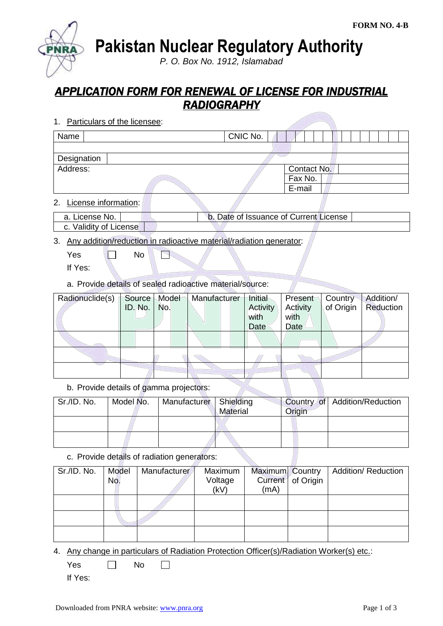**Pakistan Nuclear Regulatory Authority**

*P. O. Box No. 1912, Islamabad*

## *APPLICATION FORM FOR RENEWAL OF LICENSE FOR INDUSTRIAL RADIOGRAPHY*

1. Particulars of the licensee:

| Name        | CNIC No. |             |  |
|-------------|----------|-------------|--|
|             |          |             |  |
| Designation |          |             |  |
| Address:    |          | Contact No. |  |
|             |          | Fax No.     |  |
|             |          | E-mail      |  |
|             |          |             |  |

2. License information:

| a. License No. .       | b. Date of Issuance of Current License |  |
|------------------------|----------------------------------------|--|
| c. Validity of License |                                        |  |

3. Any addition/reduction in radioactive material/radiation generator:

 $Yes \t No$ P

- If Yes:
- a. Provide details of sealed radioactive material/source:

| Radionuclide(s) | Source              | Model | Manufacturer | Initial  | Present  | Country   | Addition/ |
|-----------------|---------------------|-------|--------------|----------|----------|-----------|-----------|
|                 | ID. No. $\vert$ No. |       |              | Activity | Activity | of Origin | Reduction |
|                 |                     |       |              | with     | with     |           |           |
|                 |                     |       |              | Date     | Date     |           |           |
|                 |                     |       |              |          |          |           |           |
|                 |                     |       |              |          |          |           |           |
|                 |                     |       |              |          |          |           |           |

b. Provide details of gamma projectors:

| Sr./ID. No. | Model No. | Manufacturer   Shielding | Material | Origin | Country of Addition/Reduction |
|-------------|-----------|--------------------------|----------|--------|-------------------------------|
|             |           |                          |          |        |                               |
|             |           |                          |          |        |                               |

c. Provide details of radiation generators:

| Sr./ID. No. | Model<br>No. | Manufacturer | Maximum<br>Voltage<br>(kV) | Maximum Country<br>(mA) | Current   of Origin | <b>Addition/ Reduction</b> |
|-------------|--------------|--------------|----------------------------|-------------------------|---------------------|----------------------------|
|             |              |              |                            |                         |                     |                            |
|             |              |              |                            |                         |                     |                            |
|             |              |              |                            |                         |                     |                            |

4. Any change in particulars of Radiation Protection Officer(s)/Radiation Worker(s) etc.:

 $Yes \qquad \Box \qquad No$  $\Box$ 

If Yes: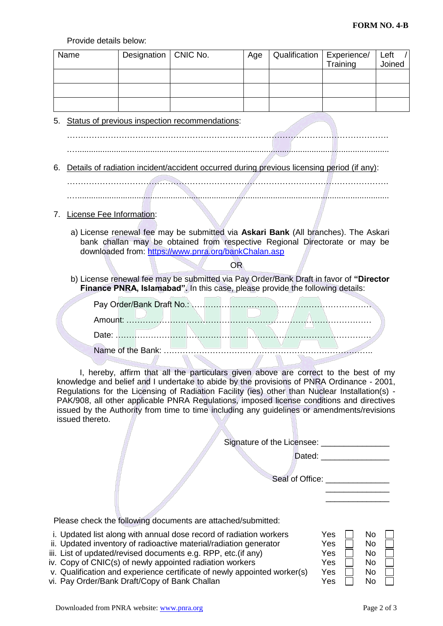Provide details below:

| Name                                    | Designation | CNIC No.                                                                                                                                                                                                                                                                                                                                                                                                                                                                       | Age                               | Qualification                                 | Experience/<br>Training                 | Left<br>Joined |
|-----------------------------------------|-------------|--------------------------------------------------------------------------------------------------------------------------------------------------------------------------------------------------------------------------------------------------------------------------------------------------------------------------------------------------------------------------------------------------------------------------------------------------------------------------------|-----------------------------------|-----------------------------------------------|-----------------------------------------|----------------|
|                                         |             |                                                                                                                                                                                                                                                                                                                                                                                                                                                                                |                                   |                                               |                                         |                |
|                                         |             |                                                                                                                                                                                                                                                                                                                                                                                                                                                                                |                                   |                                               |                                         |                |
|                                         |             |                                                                                                                                                                                                                                                                                                                                                                                                                                                                                |                                   |                                               |                                         |                |
| 5.                                      |             | Status of previous inspection recommendations:                                                                                                                                                                                                                                                                                                                                                                                                                                 |                                   |                                               |                                         |                |
|                                         |             |                                                                                                                                                                                                                                                                                                                                                                                                                                                                                |                                   |                                               |                                         |                |
|                                         |             |                                                                                                                                                                                                                                                                                                                                                                                                                                                                                |                                   |                                               |                                         |                |
| 6.                                      |             | Details of radiation incident/accident occurred during previous licensing period (if any):                                                                                                                                                                                                                                                                                                                                                                                     |                                   |                                               |                                         |                |
|                                         |             |                                                                                                                                                                                                                                                                                                                                                                                                                                                                                |                                   |                                               |                                         |                |
|                                         |             |                                                                                                                                                                                                                                                                                                                                                                                                                                                                                |                                   |                                               |                                         |                |
| License Fee Information:<br>$7_{\cdot}$ |             |                                                                                                                                                                                                                                                                                                                                                                                                                                                                                |                                   |                                               |                                         |                |
|                                         |             | a) License renewal fee may be submitted via Askari Bank (All branches). The Askari<br>bank challan may be obtained from respective Regional Directorate or may be<br>downloaded from: https://www.pnra.org/bankChalan.asp                                                                                                                                                                                                                                                      |                                   |                                               |                                         |                |
|                                         |             | <b>OR</b>                                                                                                                                                                                                                                                                                                                                                                                                                                                                      |                                   |                                               |                                         |                |
|                                         |             | b) License renewal fee may be submitted via Pay Order/Bank Draft in favor of "Director<br>Finance PNRA, Islamabad". In this case, please provide the following details:                                                                                                                                                                                                                                                                                                        |                                   |                                               |                                         |                |
|                                         |             |                                                                                                                                                                                                                                                                                                                                                                                                                                                                                |                                   |                                               |                                         |                |
|                                         |             |                                                                                                                                                                                                                                                                                                                                                                                                                                                                                |                                   |                                               |                                         |                |
|                                         |             |                                                                                                                                                                                                                                                                                                                                                                                                                                                                                |                                   |                                               |                                         |                |
|                                         |             | and the company                                                                                                                                                                                                                                                                                                                                                                                                                                                                | <b>The Company of the Company</b> | and the state of the state                    |                                         |                |
|                                         |             |                                                                                                                                                                                                                                                                                                                                                                                                                                                                                |                                   |                                               |                                         |                |
| issued thereto.                         |             | I, hereby, affirm that all the particulars given above are correct to the best of my<br>knowledge and belief and I undertake to abide by the provisions of PNRA Ordinance - 2001,<br>Regulations for the Licensing of Radiation Facility (ies) other than Nuclear Installation(s) -<br>PAK/908, all other applicable PNRA Regulations, imposed license conditions and directives<br>issued by the Authority from time to time including any guidelines or amendments/revisions |                                   |                                               |                                         |                |
|                                         |             |                                                                                                                                                                                                                                                                                                                                                                                                                                                                                |                                   | Signature of the Licensee: __________________ |                                         |                |
|                                         |             |                                                                                                                                                                                                                                                                                                                                                                                                                                                                                |                                   |                                               | Dated: ___________________              |                |
|                                         |             |                                                                                                                                                                                                                                                                                                                                                                                                                                                                                |                                   |                                               | Seal of Office: _______________         |                |
|                                         |             |                                                                                                                                                                                                                                                                                                                                                                                                                                                                                |                                   |                                               | <u> 1989 - Johann Barbara, martin a</u> |                |
|                                         |             |                                                                                                                                                                                                                                                                                                                                                                                                                                                                                |                                   |                                               |                                         |                |

Please check the following documents are attached/submitted:

- i. Updated list along with annual dose record of radiation workers<br>
ii. Updated inventory of radioactive material/radiation generator<br>
ii. List of updated/revised documents e.g. RPP, etc.(if any)<br>
v. Copy of CNIC(s) of new
- ii. Updated inventory of radioactive material/radiation generator
- iii. List of updated/revised documents e.g. RPP, etc.(if any)
- iv. Copy of CNIC(s) of newly appointed radiation workers<br>v. Qualification and experience certificate of newly appointed worker(s) Y
- v. Qualification and experience certificate of newly appointed worker(s)  $\sqrt{ }$ <br>Vi. Pay Order/Bank Draft/Copy of Bank Challan vi. Pay Order/Bank Draft/Copy of Bank Challan

| Yes | No |  |
|-----|----|--|
| Yes | No |  |
| Yes | No |  |
| Yes | No |  |
| Yes | No |  |
| Yes | No |  |